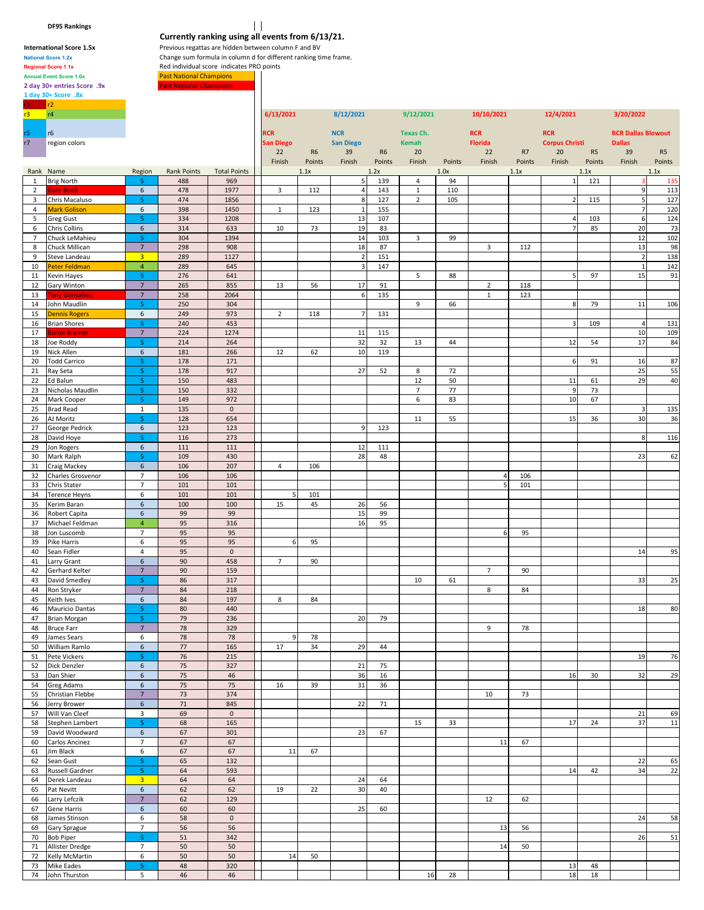**DF95 Rankings**

## National Score 1.2x **Change sum formula in column d** for different ranking time frame.<br> **Regional Score 1.1x** Red individual score indicates PRO points Annual Event Score 1.0x **Past National Champions** 2 day 30+ entries Score .9x **Past Regional Champions 1 day 30+ Score .8x**

**Currently ranking using all events from 6/13/21. International Score 1.5x** Previous regattas are hidden between column F and BV<br>National Score 1.2x Change sum formula in column d for different ranking ti

**Regional Score 1.1x Red individual score indicates PRO points** 

|                 | r2                      |                               |              |                     |                  |                |                         |                |                |        |                |        |                       |                |                           |                |
|-----------------|-------------------------|-------------------------------|--------------|---------------------|------------------|----------------|-------------------------|----------------|----------------|--------|----------------|--------|-----------------------|----------------|---------------------------|----------------|
| $r3 -$          | r4                      |                               |              |                     | 6/13/2021        |                | 8/12/2021               |                | 9/12/2021      |        | 10/10/2021     |        | 12/4/2021             |                | 3/20/2022                 |                |
|                 |                         |                               |              |                     |                  |                |                         |                |                |        |                |        |                       |                |                           |                |
| r5              | r6                      |                               |              |                     | <b>RCR</b>       |                | <b>NCR</b>              |                | Texas Ch.      |        | <b>RCR</b>     |        | <b>RCR</b>            |                | <b>RCR Dallas Blowout</b> |                |
| r7              | region colors           |                               |              |                     | <b>San Diego</b> |                | <b>San Diego</b>        |                | Kemah          |        | <b>Florida</b> |        | <b>Corpus Christi</b> |                | <b>Dallas</b>             |                |
|                 |                         |                               |              |                     | 22               | R <sub>6</sub> | 39                      | R <sub>6</sub> | 20             |        | 22             | R7     | 20                    | R <sub>5</sub> | 39                        | R <sub>5</sub> |
|                 |                         |                               |              |                     | Finish           | Points         | Finish                  | Points         | Finish         | Points | Finish         | Points | Finish                | Points         | Finish                    | Points         |
|                 | Rank Name               | Region                        | Rank Points  | <b>Total Points</b> |                  | 1.1x           |                         | 1.2x           |                | 1.0x   |                | 1.1x   |                       | 1.1x           |                           | 1.1x           |
| $\mathbf{1}$    | <b>Brig North</b>       | -5                            | 488          | 969                 |                  |                | 5                       | 139            | 4              | 94     |                |        | $\mathbf{1}$          | 121            | К                         | 135            |
| $\overline{2}$  | <b>Gary Boell</b>       | 6                             | 478          | 1977                | 3                | 112            | $\overline{a}$          | 143            | $\mathbf{1}$   | 110    |                |        |                       |                | 9                         | 113            |
| 3               | Chris Macaluso          | 5                             | 474          | 1856                |                  |                | 8                       | 127            | $\overline{2}$ | 105    |                |        | $\overline{2}$        | 115            | 5                         | 127            |
| 4               | <b>Mark Golison</b>     | 6                             | 398          | 1450                | $\mathbf{1}$     | 123            | $\mathbf 1$             | 155            |                |        |                |        |                       |                | $\overline{\phantom{a}}$  | 120            |
| 5               | <b>Greg Gust</b>        | 5                             | 334          | 1208                |                  |                | 13                      | 107            |                |        |                |        | $\overline{4}$        | 103            | $\boldsymbol{6}$          | 124            |
| 6               | <b>Chris Collins</b>    | 6                             | 314          | 633                 | 10               | 73             | 19                      | 83             |                |        |                |        | $\overline{7}$        | 85             | 20                        | 73             |
| $7\overline{ }$ | Chuck LeMahieu          | 5                             | 304          | 1394                |                  |                | 14                      | 103            | 3              | 99     |                |        |                       |                | 12                        | 102            |
| 8               | Chuck Millican          | $\overline{7}$                | 298          | 908                 |                  |                | 18                      | 87             |                |        | 3              | 112    |                       |                | 13                        | 98             |
| 9               | Steve Landeau           | $\overline{\mathbf{3}}$       | 289          | 1127                |                  |                | $\overline{\mathbf{2}}$ | 151            |                |        |                |        |                       |                | $\overline{2}$            | 138            |
| 10              | Peter Feldman           | $\overline{4}$                | 289          | 645                 |                  |                | $\overline{3}$          | 147            |                |        |                |        |                       |                | $\mathbf 1$               | 142            |
| 11              | Kevin Hayes             | 5                             | 276          | 641                 |                  |                |                         |                | 5              | 88     |                |        | 5                     | 97             | 15                        | 91             |
| 12              | Gary Winton             | $\overline{7}$                | 265          | 855                 | 13               | 56             | 17                      | 91             |                |        | $\overline{2}$ | 118    |                       |                |                           |                |
| 13              | <b>Tony Gonsalves</b>   | $\overline{7}$                | 258          | 2064                |                  |                | 6                       | 135            |                |        | $\mathbf 1$    | 123    |                       |                |                           |                |
| 14              | John Maudlin            | 5                             | 250          | 304                 |                  |                |                         |                | 9              | 66     |                |        | 8                     | 79             | 11                        | 106            |
| 15              | <b>Dennis Rogers</b>    | 6                             | 249          | 973                 | $\overline{2}$   | 118            | $\overline{7}$          | 131            |                |        |                |        |                       |                |                           |                |
| 16              | <b>Brian Shores</b>     | 5                             | 240          | 453                 |                  |                |                         |                |                |        |                |        | 3                     | 109            | $\overline{a}$            | 131            |
| 17              | <b>Baron Bremer</b>     | $\overline{7}$                | 224          | 1274                |                  |                | 11                      | 115            |                |        |                |        |                       |                | 10                        | 109            |
| 18              | Joe Roddy               | 5                             | 214          | 264                 |                  |                | 32                      | 32             | 13             | 44     |                |        | 12                    | 54             | 17                        | 84             |
| 19              | Nick Allen              | 6                             | 181          | 266                 | 12               | 62             | 10                      | 119            |                |        |                |        |                       |                |                           |                |
|                 |                         | 5                             | 178          | 171                 |                  |                |                         |                |                |        |                |        | 6                     | 91             |                           | 87             |
| 20<br>21        | <b>Todd Carrico</b>     | 5                             | 178          | 917                 |                  |                | 27                      | 52             | 8              | 72     |                |        |                       |                | 16<br>25                  | 55             |
| 22              | Ray Seta                | 5                             | 150          | 483                 |                  |                |                         |                | 12             | 50     |                |        | 11                    | 61             | 29                        | 40             |
|                 | Ed Balun                |                               |              |                     |                  |                |                         |                | $\overline{7}$ |        |                |        | 9                     |                |                           |                |
| 23              | Nicholas Maudlin        | 5                             | 150          | 332                 |                  |                |                         |                |                | 77     |                |        |                       | 73             |                           |                |
| 24              | Mark Cooper             | 5                             | 149          | 972                 |                  |                |                         |                | 6              | 83     |                |        | 10                    | 67             |                           |                |
| 25              | <b>Brad Read</b>        | $\mathbf{1}$                  | 135          | $\mathbf 0$         |                  |                |                         |                |                |        |                |        |                       |                | $\overline{\mathbf{3}}$   | 135            |
| 26              | AJ Moritz               | 5                             | 128          | 654                 |                  |                |                         |                | 11             | 55     |                |        | 15                    | 36             | 30                        | 36             |
| 27              | George Pedrick          | 6                             | 123          | 123                 |                  |                | 9                       | 123            |                |        |                |        |                       |                |                           |                |
| 28              | David Hoye              | 5                             | 116          | 273                 |                  |                |                         |                |                |        |                |        |                       |                | 8                         | 116            |
| 29              | Jon Rogers              | 6                             | 111          | 111                 |                  |                | 12                      | 111            |                |        |                |        |                       |                |                           |                |
| 30              | Mark Ralph              | 5                             | 109          | 430                 |                  |                | 28                      | 48             |                |        |                |        |                       |                | 23                        | 62             |
| 31              | Craig Mackey            | 6                             | 106          | 207                 | $\overline{4}$   | 106            |                         |                |                |        |                |        |                       |                |                           |                |
| 32              | Charles Grosvenor       | $\overline{7}$                | 106          | 106                 |                  |                |                         |                |                |        | 4              | 106    |                       |                |                           |                |
| 33              | Chris Stater            | $\overline{7}$                | 101          | 101                 |                  |                |                         |                |                |        |                | 101    |                       |                |                           |                |
| 34              | <b>Terence Heyns</b>    | 6                             | 101          | 101                 | 5                | 101            |                         |                |                |        |                |        |                       |                |                           |                |
| 35              | Kerim Baran             | $\boldsymbol{6}$              | 100          | 100                 | 15               | 45             | 26                      | 56             |                |        |                |        |                       |                |                           |                |
| 36              | Robert Capita           | 6                             | 99           | 99                  |                  |                | 15                      | 99             |                |        |                |        |                       |                |                           |                |
| 37              | Michael Feldman         | $\overline{4}$                | 95           | 316                 |                  |                | 16                      | 95             |                |        |                |        |                       |                |                           |                |
| 38              | Jon Luscomb             | $\overline{7}$                | 95           | 95                  |                  |                |                         |                |                |        |                | 95     |                       |                |                           |                |
| 39              | Pike Harris             | 6                             | 95           | 95                  | 6                | 95             |                         |                |                |        |                |        |                       |                |                           |                |
| 40              | Sean Fidler             | 4                             | 95           | $\mathbf 0$         |                  |                |                         |                |                |        |                |        |                       |                | 14                        | 95             |
| 41              | Larry Grant             | 6                             | 90           | 458                 | $\overline{7}$   | 90             |                         |                |                |        |                |        |                       |                |                           |                |
| 42              | Gerhard Kelter          | $\overline{7}$                | 90           | 159                 |                  |                |                         |                |                |        | $\overline{7}$ | 90     |                       |                |                           |                |
| 43              | David Smedley           | 5                             | 86           | 317                 |                  |                |                         |                | 10             | 61     |                |        |                       |                | 33                        | 25             |
| 44              | Ron Stryker             | $7\overline{ }$               | 84           | 218                 |                  |                |                         |                |                |        | 8              | 84     |                       |                |                           |                |
| 45              | Keith Ives              | 6                             | 84           | 197                 | 8                | 84             |                         |                |                |        |                |        |                       |                |                           |                |
| 46              | Mauricio Dantas         | 5                             | 80           | 440                 |                  |                |                         |                |                |        |                |        |                       |                | 18                        | 80             |
| 47              | Brian Morgan            | 5                             | 79           | 236                 |                  |                | 20                      | 79             |                |        |                |        |                       |                |                           |                |
| 48              | <b>Bruce Farr</b>       | $7\overline{ }$               | 78           | 329                 |                  |                |                         |                |                |        | 9              | 78     |                       |                |                           |                |
| 49              | James Sears             | 6                             | 78           | 78                  | 9                | 78             |                         |                |                |        |                |        |                       |                |                           |                |
| 50              | William Ramlo           | $\,$ 6 $\,$                   | $77$         | 165                 | 17               | 34             | 29                      | 44             |                |        |                |        |                       |                |                           |                |
| 51              | Pete Vickers            | 5                             | 76           | 215                 |                  |                |                         |                |                |        |                |        |                       |                | 19                        | 76             |
| 52              | Dick Denzler            | $6\overline{6}$               | 75           | 327                 |                  |                | 21                      | 75             |                |        |                |        |                       |                |                           |                |
| 53              | Dan Shier               | 6                             | 75           | 46                  |                  |                | 36                      | 16             |                |        |                |        | 16                    | 30             | 32                        | 29             |
| 54              | Greg Adams              | $\,$ 6 $\,$<br>$\overline{7}$ | $75\,$<br>73 | 75<br>374           | 16               | 39             | 31                      | 36             |                |        |                |        |                       |                |                           |                |
| 55              | <b>Christian Flebbe</b> |                               |              |                     |                  |                |                         |                |                |        | 10             | 73     |                       |                |                           |                |
| 56              | Jerry Brower            | 6                             | $71\,$       | 845                 |                  |                | 22                      | 71             |                |        |                |        |                       |                |                           |                |
| 57              | Will Van Cleef          | $\overline{\mathbf{3}}$       | 69           | $\mathbf 0$         |                  |                |                         |                |                |        |                |        |                       |                | 21                        | 69             |
| 58              | Stephen Lambert         | 5                             | 68           | 165                 |                  |                |                         |                | 15             | 33     |                |        | 17                    | 24             | 37                        | 11             |
| 59              | David Woodward          | 6                             | 67           | 301                 |                  |                | 23                      | 67             |                |        |                |        |                       |                |                           |                |
| 60              | Carlos Ancinez          | $\overline{7}$                | 67           | 67                  |                  |                |                         |                |                |        | 11             | 67     |                       |                |                           |                |
| 61              | Jim Black               | 6                             | 67           | 67                  | 11               | 67             |                         |                |                |        |                |        |                       |                |                           |                |
| 62              | Sean Gust               | 5                             | 65           | 132                 |                  |                |                         |                |                |        |                |        |                       |                | 22                        | 65             |
| 63              | Russell Gardner         | 5                             | 64           | 593                 |                  |                |                         |                |                |        |                |        | 14                    | 42             | 34                        | 22             |
| 64              | Derek Landeau           | 3 <sup>2</sup>                | 64           | 64                  |                  |                | 24                      | 64             |                |        |                |        |                       |                |                           |                |
| 65              | Pat Nevitt              | 6                             | 62           | 62                  | 19               | 22             | 30                      | 40             |                |        |                |        |                       |                |                           |                |
| 66              | Larry Lefczik           | $\overline{7}$                | 62           | 129                 |                  |                |                         |                |                |        | 12             | 62     |                       |                |                           |                |
| 67              | Gene Harris             | 6                             | 60           | 60                  |                  |                | 25                      | 60             |                |        |                |        |                       |                |                           |                |
| 68              | James Stinson           | 6                             | 58           | $\mathsf{O}\xspace$ |                  |                |                         |                |                |        |                |        |                       |                | 24                        | 58             |
| 69              | Gary Sprague            | $\overline{7}$                | 56           | 56                  |                  |                |                         |                |                |        | 13             | 56     |                       |                |                           |                |
| 70              | <b>Bob Piper</b>        | 5 <sub>1</sub>                | 51           | 342                 |                  |                |                         |                |                |        |                |        |                       |                | 26                        | 51             |
| 71              | Allister Dredge         | $\overline{7}$                | 50           | 50                  |                  |                |                         |                |                |        | 14             | 50     |                       |                |                           |                |
| 72              | Kelly McMartin          | 6                             | 50           | 50                  | 14               | 50             |                         |                |                |        |                |        |                       |                |                           |                |
| 73              | Mike Eades              | $\overline{5}$                | 48           | 320                 |                  |                |                         |                |                |        |                |        | 13                    | 48             |                           |                |
|                 | 74 John Thurston        | 5                             | 46           | 46                  |                  |                |                         |                | 16             | 28     |                |        | 18                    | 18             |                           |                |